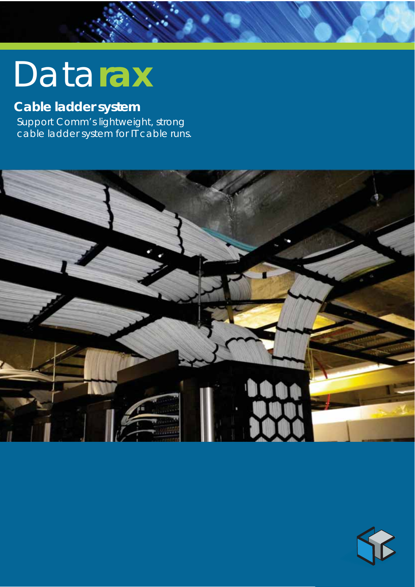# Data**rax**

# **Cable ladder system**

Support Comm's lightweight, strong cable ladder system for IT cable runs.



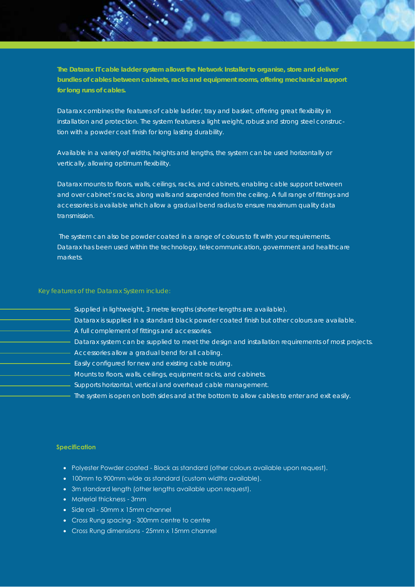**The Datarax IT cable ladder system allows the Network Installer to organise, store and deliver bundles of cables between cabinets, racks and equipment rooms, offering mechanical support for long runs of cables.**

Datarax combines the features of cable ladder, tray and basket, offering great flexibility in installation and protection. The system features a light weight, robust and strong steel construction with a powder coat finish for long lasting durability.

Available in a variety of widths, heights and lengths, the system can be used horizontally or vertically, allowing optimum flexibility.

Datarax mounts to floors, walls, ceilings, racks, and cabinets, enabling cable support between and over cabinet's racks, along walls and suspended from the ceiling. A full range of fittings and accessories is available which allow a gradual bend radius to ensure maximum quality data transmission.

 The system can also be powder coated in a range of colours to fit with your requirements. Datarax has been used within the technology, telecommunication, government and healthcare markets.

- Supplied in lightweight, 3 metre lengths (shorter lengths are available).
- Datarax is supplied in a standard black powder coated finish but other colours are available.
- A full complement of fittings and accessories.
- Datarax system can be supplied to meet the design and installation requirements of most projects.
- Accessories allow a gradual bend for all cabling.
- **Easily configured for new and existing cable routing.**
- **Mounts to floors, walls, ceilings, equipment racks, and cabinets.** 
	- Supports horizontal, vertical and overhead cable management.
	- The system is open on both sides and at the bottom to allow cables to enter and exit easily.

## **Specification**

- Polyester Powder coated Black as standard (other colours available upon request).
- 100mm to 900mm wide as standard (custom widths available).
- 3m standard length (other lengths available upon request).
- Material thickness 3mm
- Side rail 50mm x 15mm channel
- Cross Rung spacing 300mm centre to centre
- Cross Rung dimensions 25mm x 15mm channel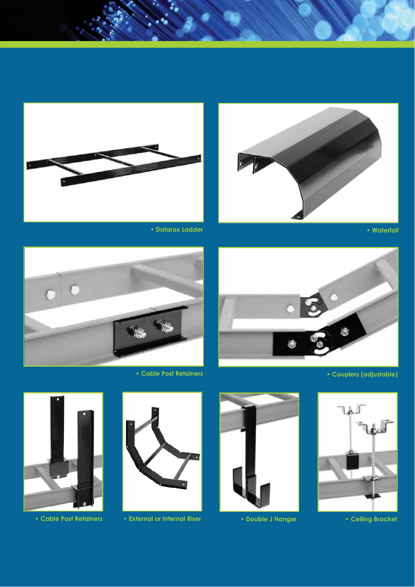





• Datarax Ladder



• Couplers (adjustable)



• Cable Post Retainers



• Ceiling Bracket



• Double J Hanger



• External or Internal Riser